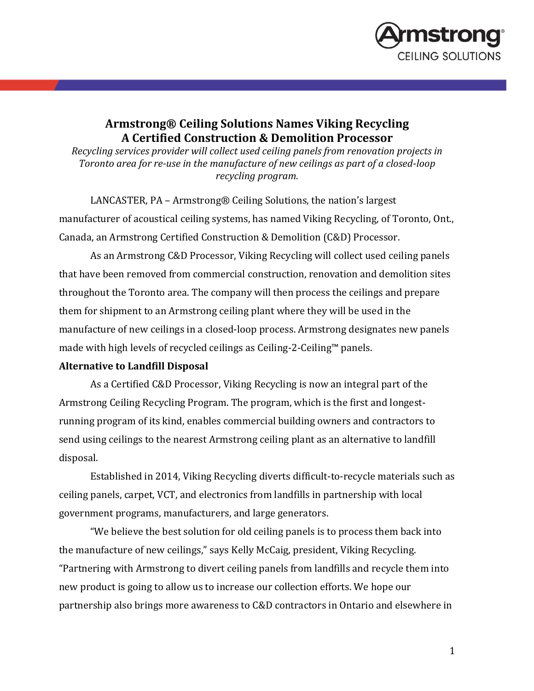

## **Armstrong® Ceiling Solutions Names Viking Recycling A Certified Construction & Demolition Processor**

*Recycling services provider will collect used ceiling panels from renovation projects in Toronto area for re-use in the manufacture of new ceilings as part of a closed-loop recycling program.*

LANCASTER, PA – Armstrong® Ceiling Solutions, the nation's largest manufacturer of acoustical ceiling systems, has named Viking Recycling, of Toronto, Ont., Canada, an Armstrong Certified Construction & Demolition (C&D) Processor.

As an Armstrong C&D Processor, Viking Recycling will collect used ceiling panels that have been removed from commercial construction, renovation and demolition sites throughout the Toronto area. The company will then process the ceilings and prepare them for shipment to an Armstrong ceiling plant where they will be used in the manufacture of new ceilings in a closed-loop process. Armstrong designates new panels made with high levels of recycled ceilings as Ceiling-2-Ceiling™ panels.

## **Alternative to Landfill Disposal**

As a Certified C&D Processor, Viking Recycling is now an integral part of the Armstrong Ceiling Recycling Program. The program, which is the first and longestrunning program of its kind, enables commercial building owners and contractors to send using ceilings to the nearest Armstrong ceiling plant as an alternative to landfill disposal.

Established in 2014, Viking Recycling diverts difficult-to-recycle materials such as ceiling panels, carpet, VCT, and electronics from landfills in partnership with local government programs, manufacturers, and large generators.

"We believe the best solution for old ceiling panels is to process them back into the manufacture of new ceilings," says Kelly McCaig, president, Viking Recycling. "Partnering with Armstrong to divert ceiling panels from landfills and recycle them into new product is going to allow us to increase our collection efforts. We hope our partnership also brings more awareness to C&D contractors in Ontario and elsewhere in